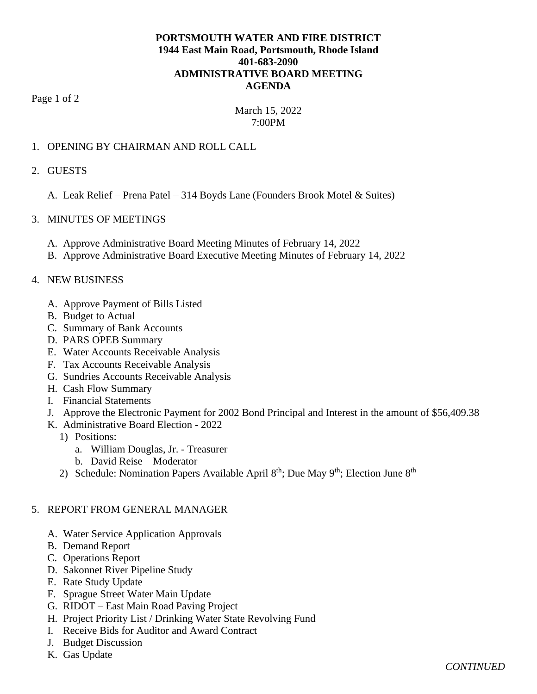# **PORTSMOUTH WATER AND FIRE DISTRICT 1944 East Main Road, Portsmouth, Rhode Island 401-683-2090 ADMINISTRATIVE BOARD MEETING AGENDA**

Page 1 of 2

# March 15, 2022 7:00PM

## 1. OPENING BY CHAIRMAN AND ROLL CALL

#### 2. GUESTS

A. Leak Relief – Prena Patel – 314 Boyds Lane (Founders Brook Motel & Suites)

## 3. MINUTES OF MEETINGS

- A. Approve Administrative Board Meeting Minutes of February 14, 2022
- B. Approve Administrative Board Executive Meeting Minutes of February 14, 2022

## 4. NEW BUSINESS

- A. Approve Payment of Bills Listed
- B. Budget to Actual
- C. Summary of Bank Accounts
- D. PARS OPEB Summary
- E. Water Accounts Receivable Analysis
- F. Tax Accounts Receivable Analysis
- G. Sundries Accounts Receivable Analysis
- H. Cash Flow Summary
- I. Financial Statements
- J. Approve the Electronic Payment for 2002 Bond Principal and Interest in the amount of \$56,409.38
- K. Administrative Board Election 2022
	- 1) Positions:
		- a. William Douglas, Jr. Treasurer
		- b. David Reise Moderator
	- 2) Schedule: Nomination Papers Available April  $8<sup>th</sup>$ ; Due May  $9<sup>th</sup>$ ; Election June  $8<sup>th</sup>$

#### 5. REPORT FROM GENERAL MANAGER

- A. Water Service Application Approvals
- B. Demand Report
- C. Operations Report
- D. Sakonnet River Pipeline Study
- E. Rate Study Update
- F. Sprague Street Water Main Update
- G. RIDOT East Main Road Paving Project
- H. Project Priority List / Drinking Water State Revolving Fund
- I. Receive Bids for Auditor and Award Contract
- J. Budget Discussion
- K. Gas Update